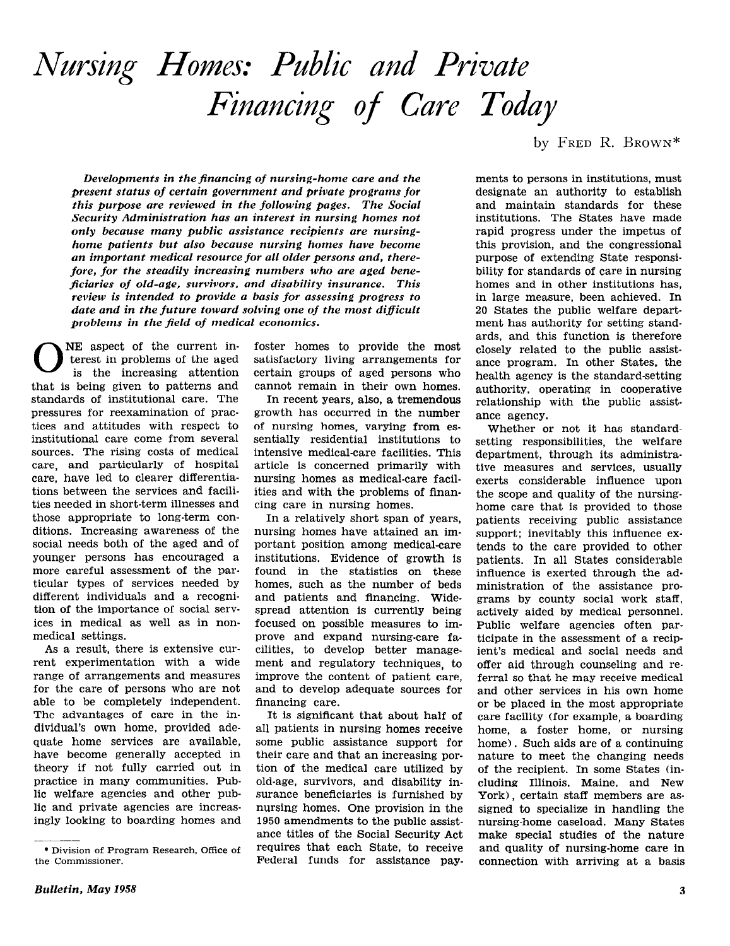# Nursing Homes: Public and Private Financing of Care Today

Developments in the financing of nursing-home care and the present status of certain government and private programs for this purpose are reviewed in the following pages. The Social Security Administration has an interest in nursing homes not only because many public assistance recipients are nursinghome patients but also because nursing homes have become an important medical resource for all older persons and, therefore, for the steadily increasing numbers who are aged beneficiaries of old-age, survivors, and disability insurance. This review is intended to provide a basis for assessing progress to date and in the future toward solving one of the most difficult problems in the field of medical economics.

**O** NE aspect of the current in<br>terest in problems of the aged<br>is the increasing attention terest in problems of the aged is the increasing attention that is being given to patterns and standards of institutional care. The pressures for reexamination of practices and attitudes with respect to institutional care come from several sources. The rising costs of medical care, and particularly of hospital care, have led to clearer differentiations between the services and facilities needed in short-term illnesses and those appropriate to long-term conditions. Increasing awareness of the social needs both of the aged and of younger persons has encouraged a more careful assessment of the particular types of services needed by different individuals and a recognition of the importance of social services in medical as well as in nonmedical settings.

As a result, there is extensive current experimentation with a wide range of arrangements and measures for the care of persons who are not able to be completely independent. The advantages of care in the individual's own home, provided adequate home services are available, have become generally accepted in theory if not fully carried out in practice in many communities. Public welfare agencies and other public and private agencies are increasingly looking to boarding homes and

foster homes to provide the most satisfactory living arrangements for certain groups of aged persons who cannot remain in their own homes.

In recent years, also, a tremendous growth has occurred in the number of nursing homes, varying from essentially residential institutions to intensive medical-care facilities. This article is concerned primarily with nursing homes as medical-care facilities and with the problems of financing care in nursing homes.

In a relatively short span of years, nursing homes have attained an important position among medical-care institutions. Evidence of growth is found in the statistics on these homes, such as the number of beds and patients and financing. Widespread attention is currently being focused on possible measures to improve and expand nursing-care facilities, to develop better management and regulatory techniques, to improve the content of patient care, and to develop adequate sources for financing care.

It is significant that about half of all patients in nursing homes receive some public assistance support for their care and that an increasing portion of the medical care utilized by old-age, survivors, and disability insurance beneficiaries is furnished by nursing homes. One provision in the 1950 amendments to the public assistance titles of the Social Security Act requires that each State, to receive Federal funds for assistance pay. by FRED R. BROWN\*

ments to persons in institutions, must designate an authority to establish and maintain standards for these institutions. The States have made rapid progress under the impetus of this provision, and the congressional purpose of extending State responsibility for standards of care in nursing homes and in other institutions has, in large measure, been achieved. In 20 States the public welfare department has authority for setting standards, and this function is therefore closely related to the public assistance program. In other States, the health agency is the standard-setting authority, operating in cooperative relationship with the public assistance agency.

Whether or not it has standardsetting responsibilities, the welfare department, through its administrative measures and services, usually exerts considerable influence upon the scope and quality of the nursinghome care that is provided to those patients receiving public assistance support; inevitably this influence extends to the care provided to other patients. In all States considerable influence is exerted through the administration of the assistance programs by county social work staff, actively aided by medical personnel. Public welfare agencies often participate in the assessment of a recipient's medical and social needs and offer aid through counseling and referral so that he may receive medical and other services in his own home or be placed in the most appropriate care facility (for example, a boarding home, a foster home, or nursing home). Such aids are of a continuing nature to meet the changing needs of the recipient. In some States (including Illinois, Maine, and New York), certain staff members are assigned to specialize in handling the nursing-home caseload. Many States make special studies of the nature and quality of nursing-home care in connection with arriving at a basis

<sup>\*</sup> Division of Program Research, Office of the Commissioner.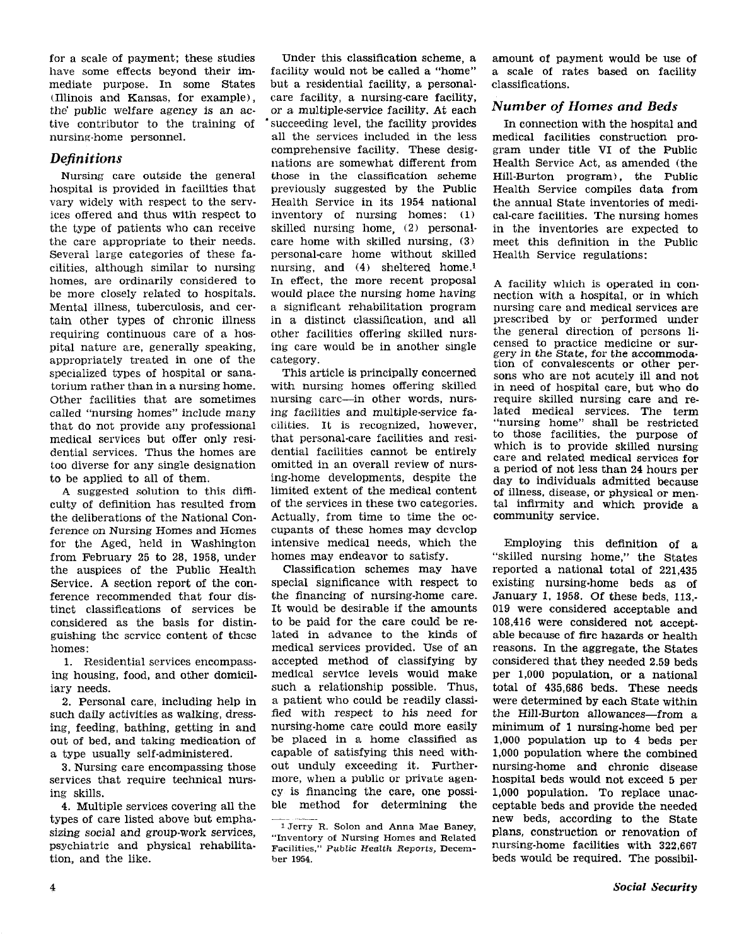for a scale of payment: these studies have some effects beyond their immediate purpose. In some States (Illinois and Kansas, for example), the public welfare agency is an active contributor to the training of nursing-home personnel.

## **Definitions**

Nursing care outside the general hospital is provided in facilities that vary widely with respect to the services offered and thus with respect to the type of patients who can receive the care appropriate to their needs. Several large categories of these facilities, although similar to nursing homes, are ordinarily considered to be more closely related to hospitals. Mental illness, tuberculosis, and certain other types of chronic illness requiring continuous care of a hospital nature are, generally speaking, appropriately treated in one of the specialized types of hospital or sanatorium rather than in a nursing home. Other facilities that are sometimes called "nursing homes" include many that do not provide any professional medical services but offer only residential services. Thus the homes are too diverse for any single designation to be applied to all of them.

A suggested solution to this difficulty of definition has resulted from the deliberations of the National Conference on Nursing Homes and Homes for the Aged, held in Washington from February 25 to 28, 1958, under the auspices of the Public Health Service. A section report of the conference recommended that four distinct classifications of services be considered as the basis for distinguishing the service content of these homes:

1. Residential services encompassing housing, food, and other domiciliary needs.

2. Personal care, including help in such daily activities as walking, dressing, feeding, bathing, getting in and out of bed, and taking medication of a type usually self-administered.

3. Nursing care encompassing those services that require technical nursing skills.

4. Multiple services covering all the types of care listed above but emphasizing social and group-work services, psychiatric and physical rehabilitation, and the like.

Under this classification scheme, a facility would not be called a "home" but a residential facility, a personalcare facility, a nursing-care facility, or a multiple-service facility. At each succeeding level, the facility provides all the services included in the less comprehensive facility. These designations are somewhat different from those in the classification scheme previously suggested by the Public Health Service in its 1954 national inventory of nursing homes: (1) skilled nursing home, (2) personalcare home with skilled nursing, (3) personal-care home without skilled nursing, and (4) sheltered home.1 In effect, the more recent proposal would place the nursing home having a significant rehabilitation program in a distinct classification, and all other facilities offering skilled nursing care would be in another single category.

This article is principally concerned with nursing homes offering skilled nursing care-in other words, nursing facilities and multiple-service facilities. It is recognized, however, that personal-care facilities and residential facilities cannot be entirely omitted in an overall review of nursing-home developments, despite the limited extent of the medical content of the services in these two categories. Actually, from time to time the occupants of these homes may develop intensive medical needs, which the homes may endeavor to satisfy.

Classification schemes may have special significance with respect to the financing of nursing-home care. It would be desirable if the amounts to be paid for the care could be related in advance to the kinds of medical services provided. Use of an accepted method of classifying by medical service levels would make such a relationship possible. Thus, a patient who could be readily classified with respect to his need for nursing-home care could more easily be placed in a home classified as capable of satisfying this need without unduly exceeding it. Furthermore, when a public or private agency is financing the care, one possible method for determining the

amount of payment would be use of a scale of rates based on facility classifications.

## Number of Homes and Beds

In connection with the hospital and medical facilities construction program under title VI of the Public Health Service Act, as amended (the Hill-Burton program), the Public Health Service compiles data from the annual State inventories of medical-care facilities. The nursing homes in the inventories are expected to meet this definition in the Public Health Service regulations:

A facility which is operated in connection with a hospital, or in which nursing care and medical services are prescribed by or performed under the general direction of persons licensed to practice medicine or surgery in the State, for the accommodation of convalescents or other persons who are not acutely ill and not in need of hospital care, but who do require skilled nursing care and related medical services. The term "nursing home" shall be restricted to those facilities, the purpose of which is to provide skilled nursing care and related medical services for a period of not less than 24 hours per day to individuals admitted because of illness, disease, or physical or mental infirmity and which provide a community service.

Employing this definition of a "skilled nursing home," the States reported a national total of 221,435 existing nursing-home beds as of January 1, 1958. Of these beds, 113,- 019 were considered acceptable and 108,416 were considered not acceptable because of fire hazards or health reasons. In the aggregate, the States considered that they needed 2.59 beds per 1,000 population, or a national total of 435,686 beds. These needs were determined by each State within the Hill-Burton allowances-from a minimum of 1 nursing-home bed per 1,000 population up to 4 beds per 1,000 population where the combined nursing-home and chronic disease hospital beds would not exceed 5 per 1,000 population. To replace unacceptable beds and provide the needed new beds, according to the State plans, construction or renovation of nursing-home facilities with 322,667 beds would be required. The possibil-

<sup>&</sup>lt;sup>1</sup> Jerry R. Solon and Anna Mae Baney, "Inventory of Nursing Homes and Related Facilities," Pvblic Health Reports, December 1954.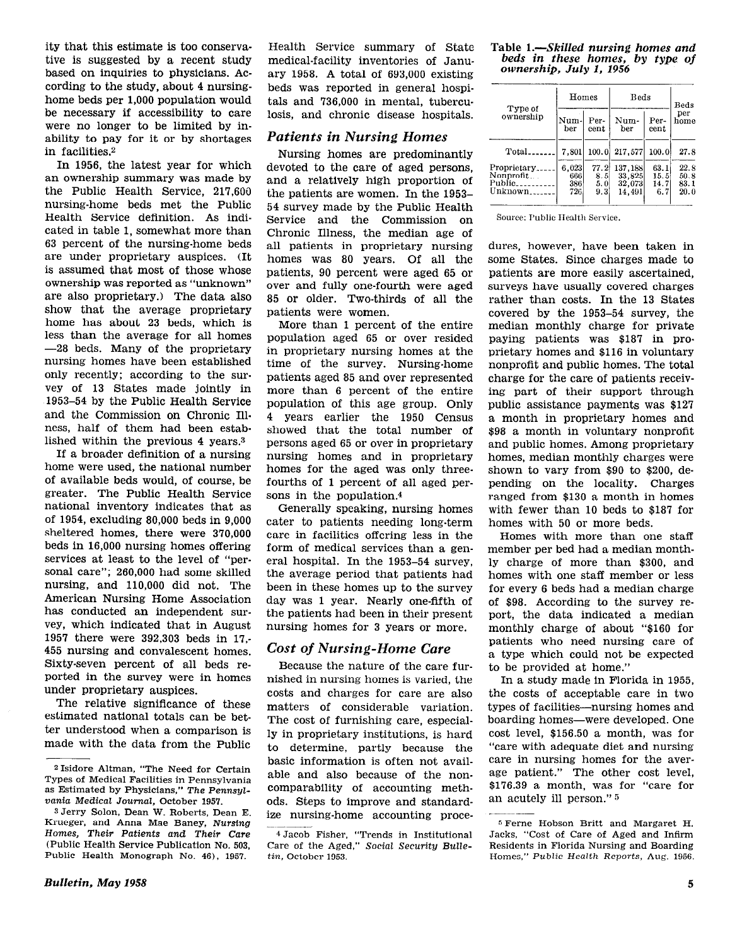ity that this estimate is too conservative is suggested by a recent study based on inquiries to physicians. According to the study, about 4 nursinghome beds per 1,000 population would be necessary if accessibility to care were no longer to be limited by inability to pay for it or by shortages in facilities.2

In 1956, the latest year for which an ownership summary was made by the Public Health Service, 217,600 nursing-home beds met the Public Health Service definition. As indicated in table 1, somewhat more than 63 percent of the nursing-home beds are under proprietary auspices. (It is assumed that most of those whose ownership was reported as "unknown" are also proprietary.) The data also show that the average proprietary home has about 23 beds, which is less than the average for all homes -28 beds. Many of the proprietary nursing homes have been established only recently; according to the survey of 13 States made jointly in 1953-54 by the Public Health Service and the Commission on Chronic Illness, half of them had been established within the previous 4 years.3

If a broader definition of a nursing home were used, the national number of available beds would, of course, be greater. The Public Health Service national inventory indicates that as of 1954, excluding 80,000 beds in 9,000 sheltered homes, there were 370,000 beds in 16,000 nursing homes offering services at least to the level of "personal care"; 260,000 had some skilled nursing, and 110,000 did not. The American Nursing Home Association has conducted an independent survey, which indicated that in August 1957 there were 392,303 beds in 17,- 455 nursing and convalescent homes. Sixty-seven percent of all beds reported in the survey were in homes under proprietary auspices.

The relative significance of these estimated national totals can be better understood when a comparison is made with the data from the Public

Bulletin, May 1958 5

Health Service summary of State medical-facility inventories of January 1958. A total of 693,000 existing beds was reported in general hospitals and 736,000 in mental, tuberculosis, and chronic disease hospitals.

## Patients in Nursing Homes

Nursing homes are predominantly devoted to the care of aged persons, and a relatively high proportion of the patients are women. In the 1953- 54 survey made by the Public Health Service and the Commission on Chronic Illness, the median age of all patients in proprietary nursing homes was 80 years. Of all the patients, 90 percent were aged 65 or over and fully one-fourth were aged 85 or older. Two-thirds of all the patients were women.

More than 1 percent of the entire population aged 65 or over resided in proprietary nursing homes at the time of the survey. Nursing-home patients aged 85 and over represented more than 6 percent of the entire population of this age group. Only 4 years earlier the 1950 Census showed that the total number of Persons aged 65 or over in proprietary nursing homes and in proprietary homes for the aged was only threefourths of 1 percent of all aged persons in the population.4

Generally speaking, nursing homes cater to patients needing long-term care in facilities offering less in the form of medical services than a general hospital. In the 1953-54 survey, the average period that patients had been in these homes up to the survey day was 1 year. Nearly one-fifth of the patients had been in their present nursing homes for 3 years or more.

# Cost of Nursing-Home Care

Because the nature of the care furnished in nursing homes is varied, the costs and charges for care are also matters of considerable variation. The cost of furnishing care, especially in proprietary institutions, is hard to determine, partly because the basic information is often not availods. Steps to improve and standardize nursing-home accounting proce-

# Table 1.-Skilled nursing homes and beds in these homes, by type of ownership, July 1, 1956

| Type of<br>ownership                                                                            | Homes                                |                                     | Beds                                             | Beds                                   |                                       |  |
|-------------------------------------------------------------------------------------------------|--------------------------------------|-------------------------------------|--------------------------------------------------|----------------------------------------|---------------------------------------|--|
|                                                                                                 | Num-<br>ber                          | Per-<br>$_{\rm cent}$               | Num-<br>ber                                      | Per-<br>$_{\rm cent}$                  | per<br>home                           |  |
| Total_<br>Proprietary.<br>Nonprofit<br>Public <sub>-------</sub><br>$Unknown$ <sub>------</sub> | 7.801<br>6.023<br>6661<br>386<br>726 | 100.0<br>77.2<br>8.51<br>5.0<br>9.3 | 217,577<br>137,188<br>33,825<br>32.073<br>14,491 | 100.0<br>63.1<br>15.51<br>14.71<br>6.7 | 27.8<br>22.8<br>50. 8<br>83.1<br>20.0 |  |

Source: Public Health Service.

dures, however, have been taken in some States. Since charges made to patients are more easily ascertained, surveys have usually covered charges rather than costs. In the 13 States covered by the 1953-54 survey, the median monthly charge for private paying patients was \$187 in proprietary homes and \$116 in voluntary nonprofit and public homes. The total charge for the care of patients receiving part of their support through public assistance payments was \$127 a month in proprietary homes and \$98 a month in voluntary nonprofit and public homes. Among proprietary homes, median monthly charges were shown to vary from \$90 to \$200, depending on the locality. Charges ranged from \$130 a month in homes with fewer than 10 beds to \$187 for homes with 50 or more beds.

Homes with more than one staff member per bed had a median monthly charge of more than \$300, and homes with one staff member or less for every 6 beds had a median charge of \$98. According to the survey report, the data indicated a median monthly charge of about "\$160 for patients who need nursing care of a type which could not be expected to be provided at home."

In a study made in Florida in 1955, the costs of acceptable care in two types of facilities-nursing homes and boarding homes-were developed. One cost level, \$156.50 a month, was for "care with adequate diet and nursing care in nursing homes for the average patient." The other cost level, \$176.39 a month, was for "care for an acutely ill person." s

<sup>&</sup>lt;sup>2</sup> Isidore Altman, "The Need for Certain Fisicial Facilities in Pennsylvania able and also because of the non-<br>Types of Medical Facilities in Pennsylvania comparability of accounting meth-<br>as Estimated by Physicians." The Pennsylas Estimated by Physicians," The Pennsylvania Medical Journal, October 1957.

S Jerry Solon, Dean W. Roberts, Dean E. Krueger, and Anna Mae Baney, Nursing Homes, Their Patients and Their Care 4 Jacob Fisher, "Trends in Institutional (Public Health Service Publication No. 503. Care of the Aged." Social Security Bulle-Public Health Monograph No. 46), 1957.

Care of the Aged," Social Security Bulle-<br>tin. October 1953.

<sup>6</sup> Ferne Hobson Britt and Margaret H. Jacks, "Cost of Care of Aged and Infirm Residents in Florida Nursing and Boarding Homes," Public Health Reports, Aug. 1956.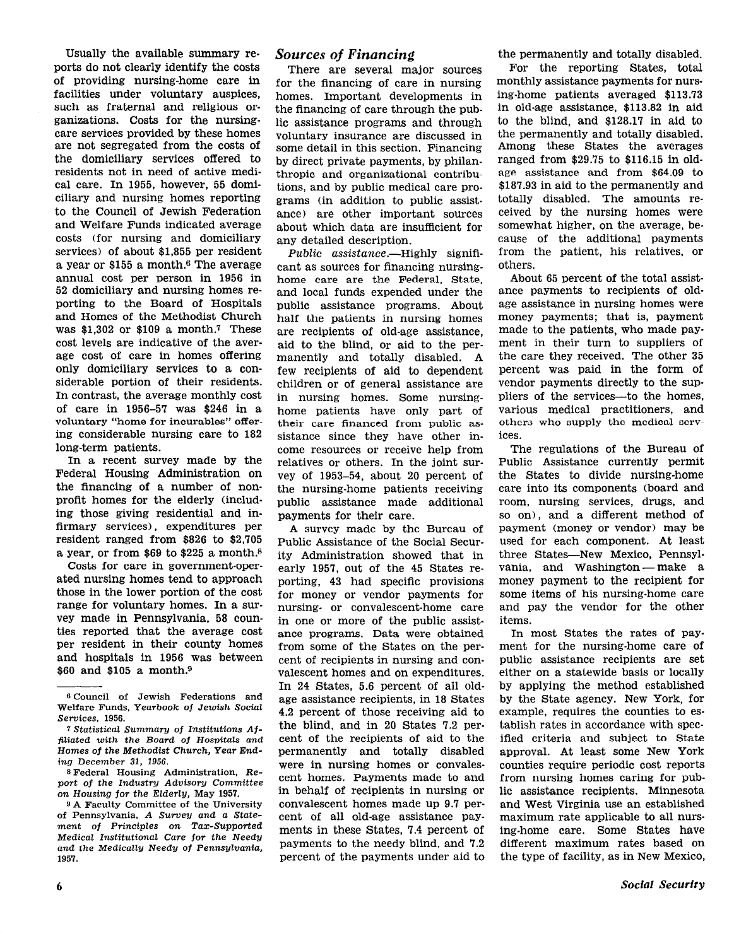Usually the available summary reports do not clearly identify the costs of providing nursing-home care in facilities under voluntary auspices, such as fraternal and religious organizations. Costs for the nursingcare services provided by these homes are not segregated from the costs of the domiciliary services offered to residents not in need of active medical care. In 1955, however, 55 domiciliary and nursing homes reporting to the Council of Jewish Federation and Welfare Funds indicated average costs (for nursing and domiciliary services) of about \$1,855 per resident a year or \$155 a month.6 The average annual cost per person in 1956 in 52 domiciliary and nursing homes reporting to the Board of Hospitals and Homes of the Methodist Church was \$1,302 or \$109 a month.7 These cost levels are indicative of the average cost of care in homes offering only domiciliary services to a considerable portion of their residents. In contrast, the average monthly cost of care in 1956-57 was \$246 in a voluntary "home for incurables" offering considerable nursing care to 182 long-term patients.

In a recent survey made by the Federal Housing Administration on the financing of a number of nonprofit homes for the elderly (including those giving residential and infirmary services), expenditures per resident ranged from \$826 to \$2,705 a year, or from \$69 to \$225 a month.8

Costs for care in government-operated nursing homes tend to approach those in the lower portion of the cost range for voluntary homes. In a survey made in Pennsylvania, 58 counties reported that the average cost per resident in their county homes and hospitals in 1956 was between \$60 and \$105 a month.9

s Federal Housing Administration, Report of the Industry Advisory Committee on Housing for the Elderly, May 1957.

9 A Faculty Committee of the University of Pennsylvania, A Survey and a Statement of Principles on Tar-Supported Medical Institutional Care for the Needy and the Medically Needy of Pennsylwania, 1957.

#### Sources of Financing

There are several major sources for the financing of care in nursing homes. Important developments in the financing of care through the public assistance programs and through voluntary insurance are discussed in some detail in this section. Financing by direct private payments, by philanthropic and organizational contributions, and by public medical care programs (in addition to public assistance) are other important sources about which data are insufficient for any detailed description.

Public assistance.-Highly significant as sources for financing nursinghome care are the Federal, State, and local funds expended under the public assistance programs. About half the patients in nursing homes are recipients of old-age assistance, aid to the blind, or aid to the permanently and totally disabled. A few recipients of aid to dependent children or of general assistance are in nursing homes. Some nursinghome patients have only part of their care financed from public assistance since they have other income resources or receive help from relatives or others. In the joint survey of 1953-54, about 20 percent of the nursing-home patients receiving public assistance made additional payments for their care.

A survey made by the Bureau of Public Assistance of the Social Security Administration showed that in early 1957, out of the 45 States reporting, 43 had specific provisions for money or vendor payments for nursing- or convalescent-home care in one or more of the public assistance programs. Data were obtained from some of the States on the percent of recipients in nursing and convalescent homes and on expenditures. In 24 States, 5.6 percent of all oldage assistance recipients, in 18 States 4.2 percent of those receiving aid to the blind, and in 20 States 7.2 percent of the recipients of aid to the permanently and totally disabled were in nursing homes or convalescent homes. Payments made to and in behalf of recipients in nursing or convalescent homes made up 9.7 percent of all old-age assistance payments in these States, 7.4 percent of payments to the needy blind, and 7.2 percent of the payments under aid to

the permanently and totally disabled.

For the reporting States, total monthly assistance payments for nursing-home patients averaged \$113.73 in old-age assistance, \$113.82 in aid to the blind, and \$128.17 in aid to the permanently and totally disabled. Among these States the averages ranged from \$29.75 to \$116.15 in oldage assistance and from \$64.09 to \$187.93 in aid to the permanently and totally disabled. The amounts received by the nursing homes were somewhat higher, on the average, because of the additional payments from the patient, his relatives, or others.

About 65 percent of the total assistance payments to recipients of oldage assistance in nursing homes were money payments; that is, payment made to the patients, who made payment in their turn to suppliers of the care they received. The other 35 percent was paid in the form of vendor payments directly to the suppliers of the services-to the homes. various medical practitioners, and others who supply the medical services.

The regulations of the Bureau of Public Assistance currently permit the States to divide nursing-home care into its components (board and room, nursing services, drugs, and so on), and a different method of payment (money or vendor) may be used for each component. At least three States-New Mexico, Pennsylvania, and Washington - make a money payment to the recipient for some items of his nursing-home care and pay the vendor for the other items.

In most States the rates of payment for the nursing-home care of public assistance recipients are set either on a statewide basis or locally by applying the method established by the State agency. New York, for example, requires the counties to establish rates in accordance with specified criteria and subject to State approval. At least some New York counties require periodic cost reports from nursing homes caring for public assistance recipients. Minnesota and West Virginia use an established maximum rate applicable to all nursing-home care. Some States have different maximum rates based on the type of facility, as in New Mexico,

<sup>6</sup> Council of Jewish Federations and Welfare Funds. Yearbook of Jewish Social Services, 1956.

<sup>7</sup> Statistical Summary of Institutions Affiliated with the Board of Hospitals and Homes of the Methodist Church, Year Ending December 31, 1956.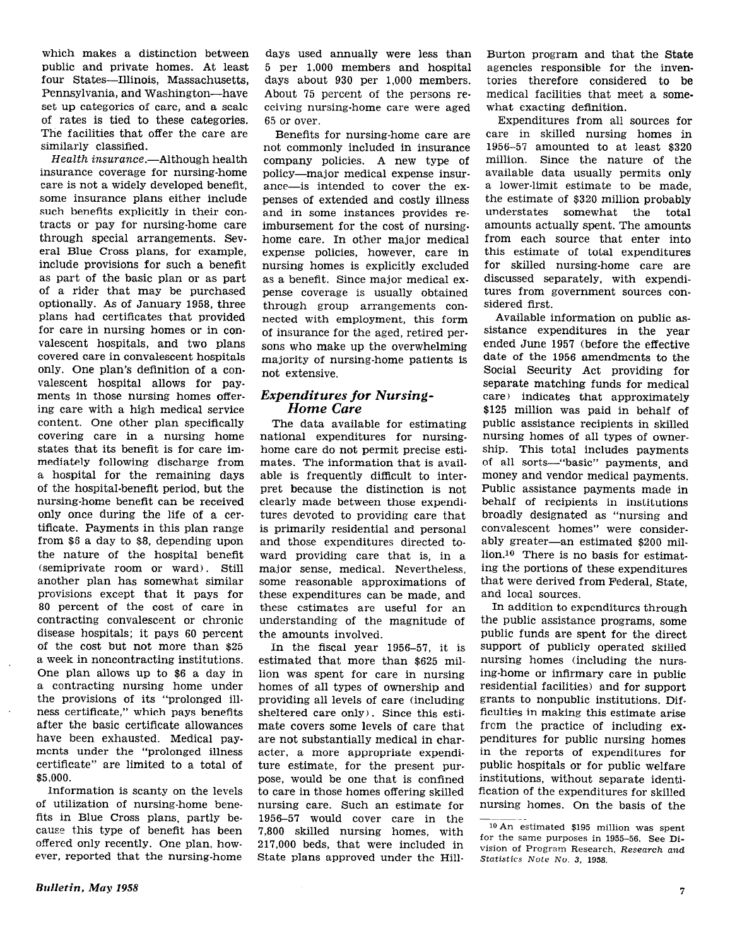which makes a distinction between public and private homes. At least four States-Illinois, Massachusetts, Pennsylvania, and Washington-have set up categories of care, and a scale of rates is tied to these categories. The facilities that offer the care are similarly classified.

Health insurance.-Although health insurance coverage for nursing-home care is not a widely developed benefit, some insurance plans either include such benefits explicitly in their contracts or pay for nursing-home care through special arrangements. Several Blue Cross plans, for example, include provisions for such a benefit as part of the basic plan or as part of a rider that may be purchased optionally. As of January 1958, three plans had certificates that provided for care in nursing homes or in convalescent hospitals, and two plans covered care in convalescent hospitals only. One plan's definition of a convalescent hospital allows for payments in those nursing homes offering care with a high medical service content. One other plan specifically covering care in a nursing home states that its benefit is for care immediately following discharge from a hospital for the remaining days of the hospital-benefit period, but the nursing-home benefit can be received only once during the life of a certificate. Payments in this plan range from \$6 a day to \$8, depending upon the nature of the hospital benefit (semiprivate room or ward). Still another plan has somewhat similar provisions except that it pays for 80 percent of the cost of care in contracting convalescent or chronic disease hospitals; it pays 60 percent of the cost but not more than \$25 a week in noncontracting institutions. One plan allows up to \$6 a day in a contracting nursing home under the provisions of its "prolonged illness certificate," which pays benefits after the basic certificate allowances have been exhausted. Medical payments under the "prolonged illness certificate" are limited to a total of \$5,000.

Information is scanty on the levels of utilization of nursing-home benefits in Blue Cross plans, partly because this type of benefit has been offered only recently. One plan, however, reported that the nursing-home

days used annually were less than 5 per 1,000 members and hospital days about 930 per 1,000 members. About 75 percent of the persons receiving nursing-home care were aged 65 or over.

Benefits for nursing-home care are not commonly included in insurance company policies. A new type of policy-major medical expense insurance-is intended to cover the expenses of extended and costly illness and in some instances provides reimbursement for the cost of nursing. home care. In other major medical expense policies, however, care in nursing homes is explicitly excluded as a benefit. Since major medical expense coverage is usually obtained through group arrangements connected with employment, this form of insurance for the aged, retired persons who make up the overwhelming majority of nursing-home patients is not extensive.

#### Expenditures for Nursing-Home Care

The data available for estimating national expenditures for nursinghome care do not permit precise estimates. The information that is available is frequently difficult to interpret because the distinction is not clearly made between those expenditures devoted to providing care that is primarily residential and personal and those expenditures directed toward providing care that is, in a major sense, medical. Nevertheless, some reasonable approximations of these expenditures can be made, and these estimates are useful for an understanding of the magnitude of the amounts involved.

In the fiscal year 1956-57, it is estimated that more than \$625 million was spent for care in nursing homes of all types of ownership and providing all levels of care (including sheltered care only). Since this estimate covers some levels of care that are not substantially medical in character, a more appropriate expenditure estimate, for the present purpose, would be one that is confined to care in those homes offering skilled nursing care. Such an estimate for 1956-57 would cover care in the 7,800 skilled nursing homes, with 217,000 beds, that were included in State plans approved under the HillBurton program and that the State agencies responsible for the inventories therefore considered to be medical facilities that meet a somewhat exacting definition.

Expenditures from all sources for care in skilled nursing homes in 1956-57 amounted to at least \$320 million. Since the nature of the available data usually permits only a lower.limit estimate to be made, the estimate of \$320 million probably understates somewhat the total amounts actually spent. The amounts from each source that enter into this estimate of total expenditures for skilled nursing-home care are discussed separately, with expenditures from government sources considered first.

Available information on public assistance expenditures in the year ended June 1957 (before the effective date of the 1956 amendments to the Social Security Act providing for separate matching funds for medical care) indicates that approximately \$125 million was paid in behalf of public assistance recipients in skilled nursing homes of all types of ownership. This total includes payments of all sorts-"basic" payments, and money and vendor medical payments. Public assistance payments made in behalf of recipients in institutions broadly designated as "nursing and convalescent homes" were considerably greater-an estimated \$200 million.10 There is no basis for estimating the portions of these expenditures that were derived from Federal, State, and local sources.

In addition to expenditures through the public assistance programs, some public funds are spent for the direct support of publicly operated skilled nursing homes (including the nursing-home or infirmary care in public residential facilities) and for support grants to nonpublic institutions. Difficulties in making this estimate arise from the practice of including expenditures for public nursing homes in the reports of expenditures for public hospitals or for public welfare institutions, without separate identification of the expenditures for skilled nursing homes. On the basis of the

<sup>10</sup> An estimated \$195 million was spent for the same purposes in 1955-56. See Division of Program Research, Research and statistics Note No. 3, 1958.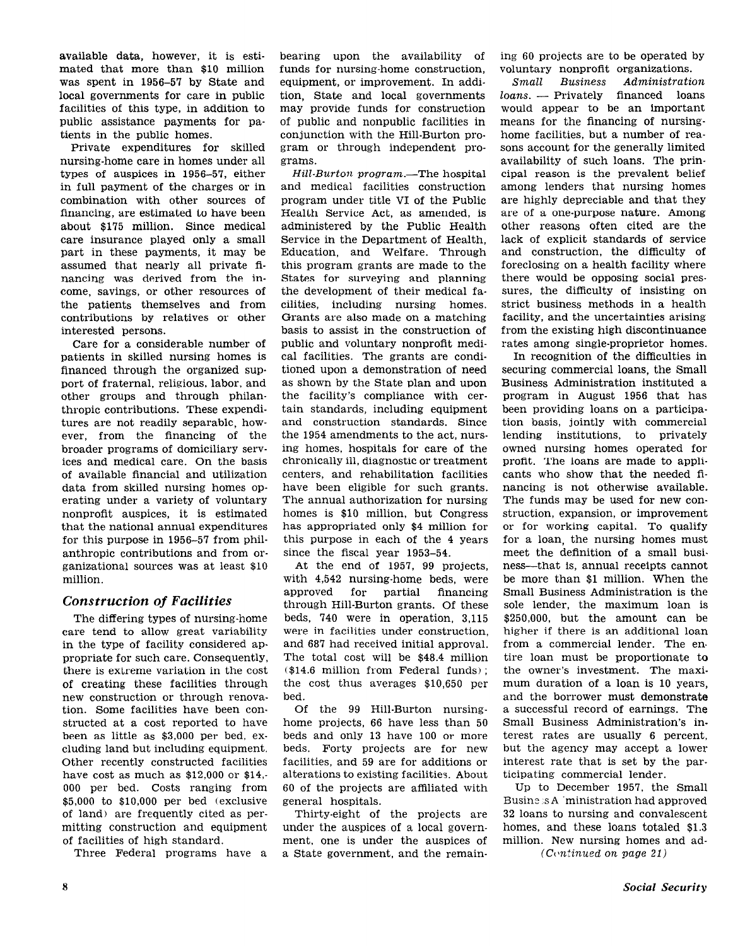available data, however, it is estimated that more than \$10 million was spent in 1956-57 by State and local governments for care in public facilities of this type, in addition to public assistance payments for patients in the public homes.

Private expenditures for skilled nursing-home care in homes under all types of auspices in 1956-57, either in full payment of the charges or in combination with other sources of financing, are estimated to have been about \$175 million. Since medical care insurance played only a small part in these payments, it may be assumed that nearly all private financing was derived from the income, savings, or other resources of the patients themselves and from contributions by relatives or other interested persons.

Care for a considerable number of patients in skilled nursing homes is financed through the organized support of fraternal, religious, labor, and other groups and through philanthropic contributions. These expenditures are not readily separable, however, from the financing of the broader programs of domiciliary services and medical care. On the basis of available financial and utilization data from skilled nursing homes operating under a variety of voluntary nonprofit auspices, it is estimated that the national annual expenditures for this purpose in 1956-57 from philanthropic contributions and from organizational sources was at least \$10 million.

#### Construction of Facilities

The differing types of nursing-home care tend to allow great variability in the type of facility considered appropriate for such care. Consequently, there is extreme variation in the cost of creating these facilities through new construction or through renovation. Some facilities have been con structed at a cost reported to have been as little as \$3,000 per bed, excluding land but including equipment. Other recently constructed facilities have cost as much as \$12,000 or \$14,-000 per bed. Costs ranging from \$5,000 to \$10,000 per bed (exclusive of land) are frequently cited as permitting construction and equipment of facilities of high standard.

Three Federal programs have a

bearing upon the availability of funds for nursing-home construction, equipment, or improvement. In addition, State and local governments may provide funds for construction of public and nonpublic facilities in conjunction with the Hill-Burton program or through independent programs.

Hill-Burton program.-The hospital and medical facilities construction program under title VI of the Public Health Service Act, as amended, is administered by the Public Health Service in the Department of Health, Education, and Welfare. Through this program grants are made to the States for surveying and planning the development of their medical facilities, including nursing homes. Grants are also made on a matching basis to assist in the construction of public and voluntary nonprofit medical facilities. The grants are conditioned upon a demonstration of need as shown by the State plan and upon the facility's compliance with certain standards, including equipment and construction standards. Since the 1954 amendments to the act, nursing homes, hospitals for care of the chronically ill, diagnostic or treatment centers, and rehabilitation facilities have been eligible for such grants. The annual authorization for nursing homes is \$10 million, but Congress has appropriated only \$4 million for this purpose in each of the 4 years since the fiscal year 1953-54.

At the end of 1957, 99 projects, with 4,542 nursing-home beds, were approved for partial financing through Hill-Burton grants. Of these beds, 740 were in operation, 3,115 were in facilities under construction, and 687 had received initial approval. The total cost will be \$48.4 million (\$14.6 million from Federal funds) ; the cost thus averages \$10,650 per bed.

Of the 99 Hill-Burton nursinghome projects, 66 have less than 50 beds and only 13 have 100 or more beds. Forty projects are for new facilities, and 59 are for additions or alterations to existing facilities. About 60 of the projects are affiliated with general hospitals.

Thirty-eight of the projects are under the auspices of a local government, one is under the auspices of a State government, and the remain ing 60 projects are to be operated by voluntary nonprofit organizations.

Small Business Administration  $loans.$  - Privately financed  $loans$ would appear to be an important means for the financing of nursinghome facilities, but a number of reasons account for the generally limited availability of such loans. The principal reason is the prevalent belief among lenders that nursing homes are highly depreciable and that they are of a one-purpose nature. Among other reasons often cited are the lack of explicit standards of service and construction, the difficulty of foreclosing on a health facility where there would be opposing social pressures, the difficulty of insisting on strict business methods in a health facility, and the uncertainties arising from the existing high discontinuance rates among single-proprietor homes.

In recognition of the difficulties in securing commercial loans, the Small Business Administration instituted a program in August 1956 that has been providing loans on a participation basis, jointly with commercial lending institutions, to privately owned nursing homes operated for profit. The loans are made to applicants who show that the needed financing is not otherwise available. The funds may be used for new construction, expansion, or improvement or for working capital. To qualify for a loan, the nursing homes must meet the definition of a small business-that is, annual receipts cannot be more than \$1 million. When the Small Business Administration is the sole lender, the maximum loan is \$250,000, but the amount can be higher if there is an additional loan from a commercial lender. The en. tire loan must be proportionate to the owner's investment. The maximum duration of a loan is 10 years, and the borrower must demonstrate a successful record of earnings. The Small Business Administration's interest rates are usually 6 percent, but the agency may accept a lower interest rate that is set by the participating commercial lender.

Up to December 1957, the Small Busine .s A *ministration* had approved 32 loans to nursing and convalescent homes, and these loans totaled \$1.3 million. New nursing homes and ad-

 $(Cortnued on page 21)$